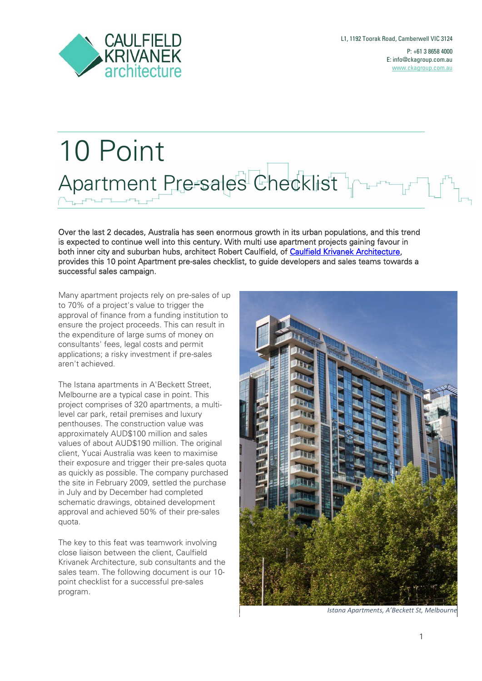

# 10 Point Apartment Pre-sales Checklist

Over the last 2 decades, Australia has seen enormous growth in its urban populations, and this trend is expected to continue well into this century. With multi use apartment projects gaining favour in both inner city and suburban hubs, architect Robert Caulfield, of [Caulfield Krivanek Architecture,](https://caulfieldkrivanek.com/) provides this 10 point Apartment pre-sales checklist, to guide developers and sales teams towards a successful sales campaign.

Many apartment projects rely on pre-sales of up to 70% of a project's value to trigger the approval of finance from a funding institution to ensure the project proceeds. This can result in the expenditure of large sums of money on consultants' fees, legal costs and permit applications; a risky investment if pre-sales aren't achieved.

The Istana apartments in A'Beckett Street, Melbourne are a typical case in point. This project comprises of 320 apartments, a multilevel car park, retail premises and luxury penthouses. The construction value was approximately AUD\$100 million and sales values of about AUD\$190 million. The original client, Yucai Australia was keen to maximise their exposure and trigger their pre-sales quota as quickly as possible. The company purchased the site in February 2009, settled the purchase in July and by December had completed schematic drawings, obtained development approval and achieved 50% of their pre-sales quota.

The key to this feat was teamwork involving close liaison between the client, Caulfield Krivanek Architecture, sub consultants and the sales team. The following document is our 10 point checklist for a successful pre-sales program.



*Istana Apartments, A'Beckett St, Melbourne*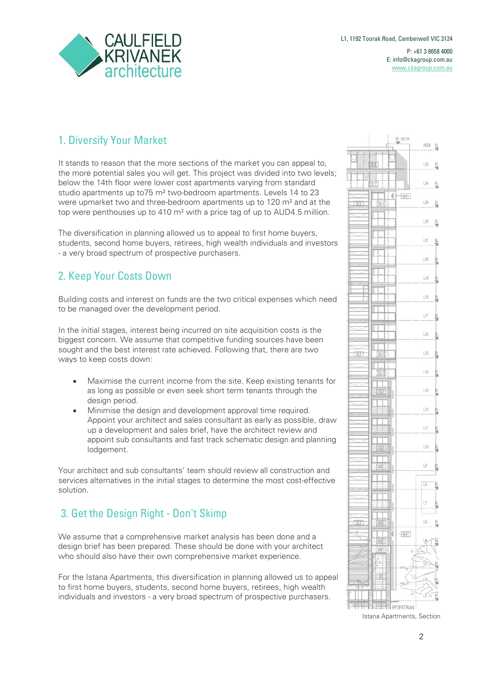

#### 1. Diversify Your Market

It stands to reason that the more sections of the market you can appeal to, the more potential sales you will get. This project was divided into two levels; below the 14th floor were lower cost apartments varying from standard studio apartments up to75 m² two-bedroom apartments. Levels 14 to 23 were upmarket two and three-bedroom apartments up to 120 m² and at the top were penthouses up to 410 m² with a price tag of up to AUD4.5 million.

The diversification in planning allowed us to appeal to first home buyers, students, second home buyers, retirees, high wealth individuals and investors - a very broad spectrum of prospective purchasers.

#### 2. Keep Your Costs Down

Building costs and interest on funds are the two critical expenses which need to be managed over the development period.

In the initial stages, interest being incurred on site acquisition costs is the biggest concern. We assume that competitive funding sources have been sought and the best interest rate achieved. Following that, there are two ways to keep costs down:

- Maximise the current income from the site. Keep existing tenants for as long as possible or even seek short term tenants through the design period.
- Minimise the design and development approval time required. Appoint your architect and sales consultant as early as possible, draw up a development and sales brief, have the architect review and appoint sub consultants and fast track schematic design and planning lodgement.

Your architect and sub consultants' team should review all construction and services alternatives in the initial stages to determine the most cost-effective solution.

## 3. Get the Design Right - Don't Skimp

We assume that a comprehensive market analysis has been done and a design brief has been prepared. These should be done with your architect who should also have their own comprehensive market experience.

For the Istana Apartments, this diversification in planning allowed us to appeal to first home buyers, students, second home buyers, retirees, high wealth individuals and investors - a very broad spectrum of prospective purchasers.



Istana Apartments, Section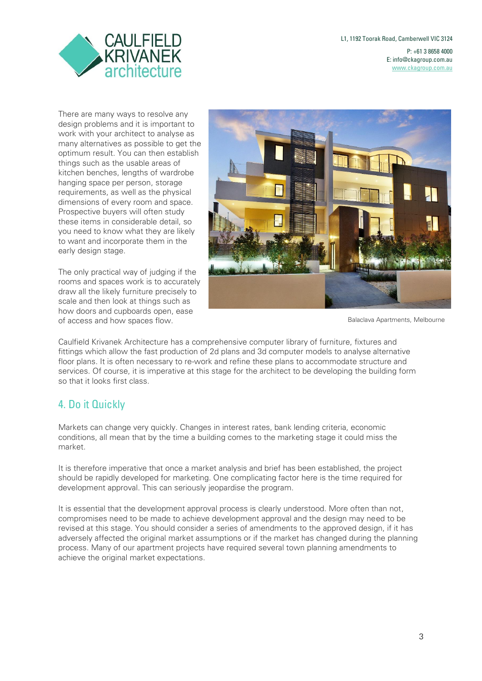

L1, 1192 Toorak Road, Camberwell VIC 3124  $P: +61.386584000$ E: info@ckagroup.com.au [www.ckagroup.com.au](file:///C:/Users/Lara/AppData/Local/Microsoft/Windows/Temporary%20Internet%20Files/Content.Outlook/UJL6OXT9/www.ckagroup.com.au)

There are many ways to resolve any design problems and it is important to work with your architect to analyse as many alternatives as possible to get the optimum result. You can then establish things such as the usable areas of kitchen benches, lengths of wardrobe hanging space per person, storage requirements, as well as the physical dimensions of every room and space. Prospective buyers will often study these items in considerable detail, so you need to know what they are likely to want and incorporate them in the early design stage.

The only practical way of judging if the rooms and spaces work is to accurately draw all the likely furniture precisely to scale and then look at things such as how doors and cupboards open, ease of access and how spaces flow.



Balaclava Apartments, Melbourne

Caulfield Krivanek Architecture has a comprehensive computer library of furniture, fixtures and fittings which allow the fast production of 2d plans and 3d computer models to analyse alternative floor plans. It is often necessary to re-work and refine these plans to accommodate structure and services. Of course, it is imperative at this stage for the architect to be developing the building form so that it looks first class.

#### 4. Do it Quickly

Markets can change very quickly. Changes in interest rates, bank lending criteria, economic conditions, all mean that by the time a building comes to the marketing stage it could miss the market.

It is therefore imperative that once a market analysis and brief has been established, the project should be rapidly developed for marketing. One complicating factor here is the time required for development approval. This can seriously jeopardise the program.

It is essential that the development approval process is clearly understood. More often than not, compromises need to be made to achieve development approval and the design may need to be revised at this stage. You should consider a series of amendments to the approved design, if it has adversely affected the original market assumptions or if the market has changed during the planning process. Many of our apartment projects have required several town planning amendments to achieve the original market expectations.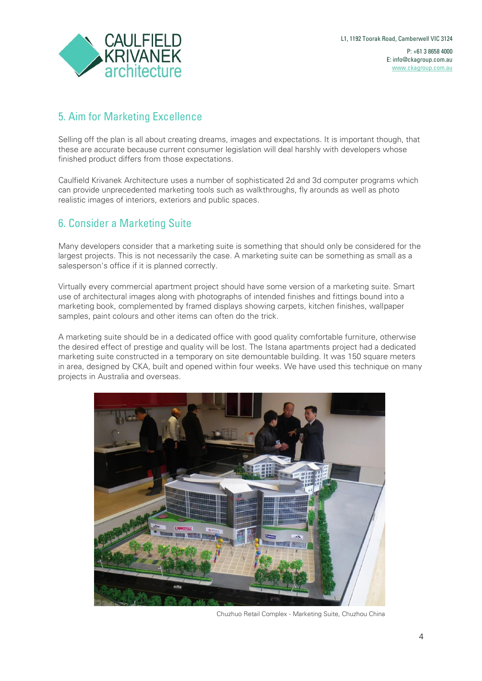

## 5. Aim for Marketing Excellence

Selling off the plan is all about creating dreams, images and expectations. It is important though, that these are accurate because current consumer legislation will deal harshly with developers whose finished product differs from those expectations.

Caulfield Krivanek Architecture uses a number of sophisticated 2d and 3d computer programs which can provide unprecedented marketing tools such as walkthroughs, fly arounds as well as photo realistic images of interiors, exteriors and public spaces.

## 6. Consider a Marketing Suite

Many developers consider that a marketing suite is something that should only be considered for the largest projects. This is not necessarily the case. A marketing suite can be something as small as a salesperson's office if it is planned correctly.

Virtually every commercial apartment project should have some version of a marketing suite. Smart use of architectural images along with photographs of intended finishes and fittings bound into a marketing book, complemented by framed displays showing carpets, kitchen finishes, wallpaper samples, paint colours and other items can often do the trick.

A marketing suite should be in a dedicated office with good quality comfortable furniture, otherwise the desired effect of prestige and quality will be lost. The Istana apartments project had a dedicated marketing suite constructed in a temporary on site demountable building. It was 150 square meters in area, designed by CKA, built and opened within four weeks. We have used this technique on many projects in Australia and overseas.



Chuzhuo Retail Complex - Marketing Suite, Chuzhou China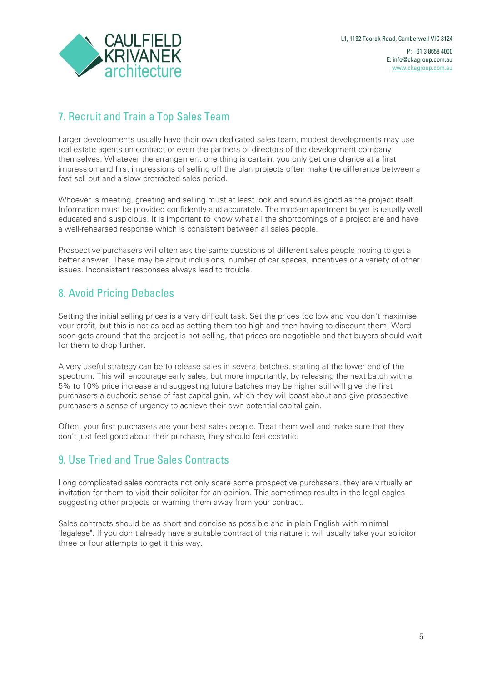

## 7. Recruit and Train a Top Sales Team

Larger developments usually have their own dedicated sales team, modest developments may use real estate agents on contract or even the partners or directors of the development company themselves. Whatever the arrangement one thing is certain, you only get one chance at a first impression and first impressions of selling off the plan projects often make the difference between a fast sell out and a slow protracted sales period.

Whoever is meeting, greeting and selling must at least look and sound as good as the project itself. Information must be provided confidently and accurately. The modern apartment buyer is usually well educated and suspicious. It is important to know what all the shortcomings of a project are and have a well-rehearsed response which is consistent between all sales people.

Prospective purchasers will often ask the same questions of different sales people hoping to get a better answer. These may be about inclusions, number of car spaces, incentives or a variety of other issues. Inconsistent responses always lead to trouble.

#### 8. Avoid Pricing Debacles

Setting the initial selling prices is a very difficult task. Set the prices too low and you don't maximise your profit, but this is not as bad as setting them too high and then having to discount them. Word soon gets around that the project is not selling, that prices are negotiable and that buyers should wait for them to drop further.

A very useful strategy can be to release sales in several batches, starting at the lower end of the spectrum. This will encourage early sales, but more importantly, by releasing the next batch with a 5% to 10% price increase and suggesting future batches may be higher still will give the first purchasers a euphoric sense of fast capital gain, which they will boast about and give prospective purchasers a sense of urgency to achieve their own potential capital gain.

Often, your first purchasers are your best sales people. Treat them well and make sure that they don't just feel good about their purchase, they should feel ecstatic.

#### 9. Use Tried and True Sales Contracts

Long complicated sales contracts not only scare some prospective purchasers, they are virtually an invitation for them to visit their solicitor for an opinion. This sometimes results in the legal eagles suggesting other projects or warning them away from your contract.

Sales contracts should be as short and concise as possible and in plain English with minimal "legalese". If you don't already have a suitable contract of this nature it will usually take your solicitor three or four attempts to get it this way.